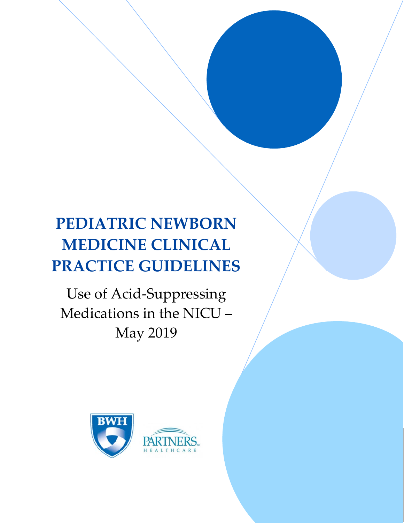# **PEDIATRIC NEWBORN MEDICINE CLINICAL PRACTICE GUIDELINES**

 

Use of Acid‐Suppressing Medications in the NICU – May 2019



 $\mathbf{1}$  , the set of  $\mathbf{1}$  , the set of  $\mathbf{1}$  , the set of  $\mathbf{1}$  , the set of  $\mathbf{1}$  , the set of  $\mathbf{1}$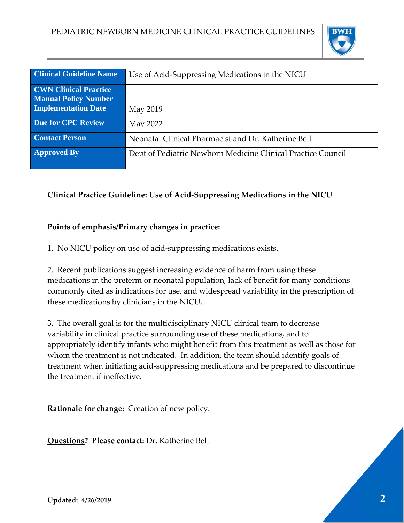

| <b>Clinical Guideline Name</b> | Use of Acid-Suppressing Medications in the NICU              |  |  |  |  |
|--------------------------------|--------------------------------------------------------------|--|--|--|--|
| <b>CWN Clinical Practice</b>   |                                                              |  |  |  |  |
| <b>Manual Policy Number</b>    |                                                              |  |  |  |  |
| <b>Implementation Date</b>     | May 2019                                                     |  |  |  |  |
| <b>Due for CPC Review</b>      | May 2022                                                     |  |  |  |  |
| <b>Contact Person</b>          | Neonatal Clinical Pharmacist and Dr. Katherine Bell          |  |  |  |  |
| <b>Approved By</b>             | Dept of Pediatric Newborn Medicine Clinical Practice Council |  |  |  |  |

# **Clinical Practice Guideline: Use of Acid‐Suppressing Medications in the NICU**

## **Points of emphasis/Primary changes in practice:**

1. No NICU policy on use of acid‐suppressing medications exists.

2. Recent publications suggest increasing evidence of harm from using these medications in the preterm or neonatal population, lack of benefit for many conditions commonly cited as indications for use, and widespread variability in the prescription of these medications by clinicians in the NICU.

3. The overall goal is for the multidisciplinary NICU clinical team to decrease variability in clinical practice surrounding use of these medications, and to appropriately identify infants who might benefit from this treatment as well as those for whom the treatment is not indicated. In addition, the team should identify goals of treatment when initiating acid‐suppressing medications and be prepared to discontinue the treatment if ineffective.

**Rationale for change:** Creation of new policy.

**Questions? Please contact:** Dr. Katherine Bell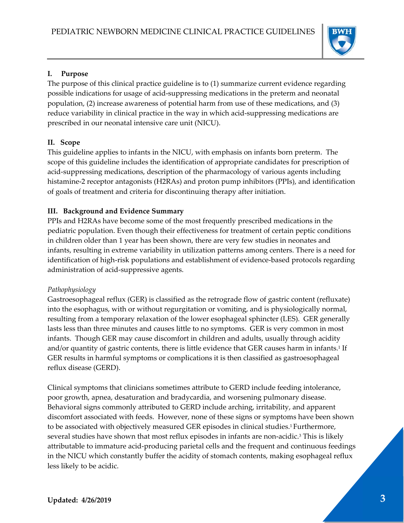

#### **I. Purpose**

The purpose of this clinical practice guideline is to (1) summarize current evidence regarding possible indications for usage of acid‐suppressing medications in the preterm and neonatal population, (2) increase awareness of potential harm from use of these medications, and (3) reduce variability in clinical practice in the way in which acid-suppressing medications are prescribed in our neonatal intensive care unit (NICU).

#### **II. Scope**

This guideline applies to infants in the NICU, with emphasis on infants born preterm. The scope of this guideline includes the identification of appropriate candidates for prescription of acid-suppressing medications, description of the pharmacology of various agents including histamine‐2 receptor antagonists (H2RAs) and proton pump inhibitors (PPIs), and identification of goals of treatment and criteria for discontinuing therapy after initiation.

### **III. Background and Evidence Summary**

PPIs and H2RAs have become some of the most frequently prescribed medications in the pediatric population. Even though their effectiveness for treatment of certain peptic conditions in children older than 1 year has been shown, there are very few studies in neonates and infants, resulting in extreme variability in utilization patterns among centers. There is a need for identification of high-risk populations and establishment of evidence-based protocols regarding administration of acid‐suppressive agents.

#### *Pathophysiology*

Gastroesophageal reflux (GER) is classified as the retrograde flow of gastric content (refluxate) into the esophagus, with or without regurgitation or vomiting, and is physiologically normal, resulting from a temporary relaxation of the lower esophageal sphincter (LES). GER generally lasts less than three minutes and causes little to no symptoms. GER is very common in most infants. Though GER may cause discomfort in children and adults, usually through acidity and/or quantity of gastric contents, there is little evidence that GER causes harm in infants.<sup>1</sup> If GER results in harmful symptoms or complications it is then classified as gastroesophageal reflux disease (GERD).

Clinical symptoms that clinicians sometimes attribute to GERD include feeding intolerance, poor growth, apnea, desaturation and bradycardia, and worsening pulmonary disease. Behavioral signs commonly attributed to GERD include arching, irritability, and apparent discomfort associated with feeds. However, none of these signs or symptoms have been shown to be associated with objectively measured GER episodes in clinical studies.<sup>1</sup> Furthermore, several studies have shown that most reflux episodes in infants are non-acidic.<sup>3</sup> This is likely attributable to immature acid‐producing parietal cells and the frequent and continuous feedings in the NICU which constantly buffer the acidity of stomach contents, making esophageal reflux less likely to be acidic.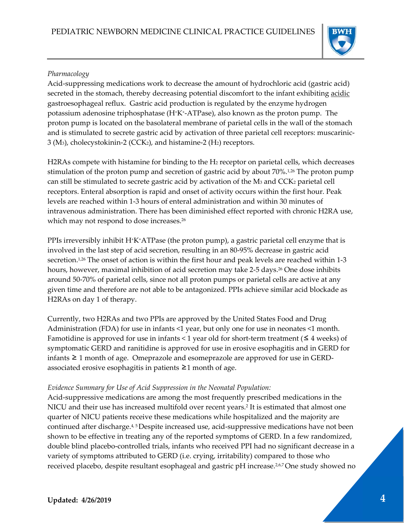

#### *Pharmacology*

Acid‐suppressing medications work to decrease the amount of hydrochloric acid (gastric acid) secreted in the stomach, thereby decreasing potential discomfort to the infant exhibiting acidic gastroesophageal reflux. Gastric acid production is regulated by the enzyme hydrogen potassium adenosine triphosphatase (H+K+‐ATPase), also known as the proton pump. The proton pump is located on the basolateral membrane of parietal cells in the wall of the stomach and is stimulated to secrete gastric acid by activation of three parietal cell receptors: muscarinic-3 (M3), cholecystokinin‐2 (CCK2), and histamine‐2 (H2) receptors.

H2RAs compete with histamine for binding to the H2 receptor on parietal cells, which decreases stimulation of the proton pump and secretion of gastric acid by about 70%.1,26 The proton pump can still be stimulated to secrete gastric acid by activation of the  $M_3$  and  $CCK_2$  parietal cell receptors. Enteral absorption is rapid and onset of activity occurs within the first hour. Peak levels are reached within 1‐3 hours of enteral administration and within 30 minutes of intravenous administration. There has been diminished effect reported with chronic H2RA use, which may not respond to dose increases.<sup>26</sup>

PPIs irreversibly inhibit H<sup>+</sup>K<sup>+</sup>ATPase (the proton pump), a gastric parietal cell enzyme that is involved in the last step of acid secretion, resulting in an 80‐95% decrease in gastric acid secretion.<sup>1,26</sup> The onset of action is within the first hour and peak levels are reached within 1-3 hours, however, maximal inhibition of acid secretion may take 2-5 days.<sup>26</sup> One dose inhibits around 50‐70% of parietal cells, since not all proton pumps or parietal cells are active at any given time and therefore are not able to be antagonized. PPIs achieve similar acid blockade as H2RAs on day 1 of therapy.

Currently, two H2RAs and two PPIs are approved by the United States Food and Drug Administration (FDA) for use in infants <1 year, but only one for use in neonates <1 month. Famotidine is approved for use in infants  $\leq 1$  year old for short-term treatment ( $\leq 4$  weeks) of symptomatic GERD and ranitidine is approved for use in erosive esophagitis and in GERD for infants  $\geq 1$  month of age. Omeprazole and esomeprazole are approved for use in GERDassociated erosive esophagitis in patients ≥1 month of age.

### *Evidence Summary for Use of Acid Suppression in the Neonatal Population:*

Acid‐suppressive medications are among the most frequently prescribed medications in the NICU and their use has increased multifold over recent years.2 It is estimated that almost one quarter of NICU patients receive these medications while hospitalized and the majority are continued after discharge.<sup>4, 5</sup>Despite increased use, acid-suppressive medications have not been shown to be effective in treating any of the reported symptoms of GERD. In a few randomized, double blind placebo‐controlled trials, infants who received PPI had no significant decrease in a variety of symptoms attributed to GERD (i.e. crying, irritability) compared to those who received placebo, despite resultant esophageal and gastric pH increase.<sup>2,6,7</sup>One study showed no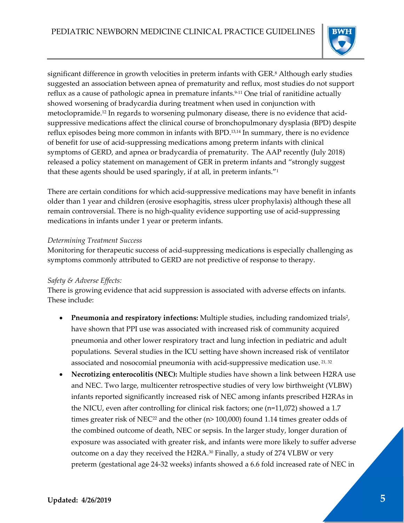

significant difference in growth velocities in preterm infants with GER.<sup>8</sup> Although early studies suggested an association between apnea of prematurity and reflux, most studies do not support reflux as a cause of pathologic apnea in premature infants.<sup>9-11</sup> One trial of ranitidine actually showed worsening of bradycardia during treatment when used in conjunction with metoclopramide.<sup>12</sup> In regards to worsening pulmonary disease, there is no evidence that acidsuppressive medications affect the clinical course of bronchopulmonary dysplasia (BPD) despite reflux episodes being more common in infants with BPD.13,14 In summary, there is no evidence of benefit for use of acid‐suppressing medications among preterm infants with clinical symptoms of GERD, and apnea or bradycardia of prematurity. The AAP recently (July 2018) released a policy statement on management of GER in preterm infants and "strongly suggest that these agents should be used sparingly, if at all, in preterm infants."1

There are certain conditions for which acid‐suppressive medications may have benefit in infants older than 1 year and children (erosive esophagitis, stress ulcer prophylaxis) although these all remain controversial. There is no high-quality evidence supporting use of acid-suppressing medications in infants under 1 year or preterm infants.

#### *Determining Treatment Success*

Monitoring for therapeutic success of acid‐suppressing medications is especially challenging as symptoms commonly attributed to GERD are not predictive of response to therapy.

### *Safety & Adverse Effects:*

There is growing evidence that acid suppression is associated with adverse effects on infants. These include:

- **Pneumonia and respiratory infections:** Multiple studies, including randomized trials<sup>2</sup>, have shown that PPI use was associated with increased risk of community acquired pneumonia and other lower respiratory tract and lung infection in pediatric and adult populations. Several studies in the ICU setting have shown increased risk of ventilator associated and nosocomial pneumonia with acid‐suppressive medication use. 21, <sup>32</sup>
- **Necrotizing enterocolitis (NEC):** Multiple studies have shown a link between H2RA use and NEC. Two large, multicenter retrospective studies of very low birthweight (VLBW) infants reported significantly increased risk of NEC among infants prescribed H2RAs in the NICU, even after controlling for clinical risk factors; one (n=11,072) showed a 1.7 times greater risk of NEC<sup>22</sup> and the other  $(n>100,000)$  found 1.14 times greater odds of the combined outcome of death, NEC or sepsis. In the larger study, longer duration of exposure was associated with greater risk, and infants were more likely to suffer adverse outcome on a day they received the H2RA.30 Finally, a study of 274 VLBW or very preterm (gestational age 24‐32 weeks) infants showed a 6.6 fold increased rate of NEC in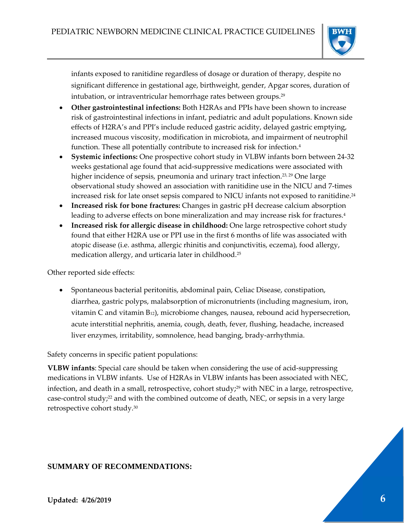

infants exposed to ranitidine regardless of dosage or duration of therapy, despite no significant difference in gestational age, birthweight, gender, Apgar scores, duration of intubation, or intraventricular hemorrhage rates between groups.29

- **Other gastrointestinal infections:** Both H2RAs and PPIs have been shown to increase risk of gastrointestinal infections in infant, pediatric and adult populations. Known side effects of H2RA's and PPI's include reduced gastric acidity, delayed gastric emptying, increased mucous viscosity, modification in microbiota, and impairment of neutrophil function. These all potentially contribute to increased risk for infection.4
- **Systemic infections:** One prospective cohort study in VLBW infants born between 24‐32 weeks gestational age found that acid‐suppressive medications were associated with higher incidence of sepsis, pneumonia and urinary tract infection.<sup>23, 29</sup> One large observational study showed an association with ranitidine use in the NICU and 7‐times increased risk for late onset sepsis compared to NICU infants not exposed to ranitidine.<sup>24</sup>
- **Increased risk for bone fractures:** Changes in gastric pH decrease calcium absorption leading to adverse effects on bone mineralization and may increase risk for fractures.4
- **Increased risk for allergic disease in childhood:** One large retrospective cohort study found that either H2RA use or PPI use in the first 6 months of life was associated with atopic disease (i.e. asthma, allergic rhinitis and conjunctivitis, eczema), food allergy, medication allergy, and urticaria later in childhood.25

Other reported side effects:

 Spontaneous bacterial peritonitis, abdominal pain, Celiac Disease, constipation, diarrhea, gastric polyps, malabsorption of micronutrients (including magnesium, iron, vitamin C and vitamin B12), microbiome changes, nausea, rebound acid hypersecretion, acute interstitial nephritis, anemia, cough, death, fever, flushing, headache, increased liver enzymes, irritability, somnolence, head banging, brady‐arrhythmia.

Safety concerns in specific patient populations:

**VLBW infants**: Special care should be taken when considering the use of acid‐suppressing medications in VLBW infants. Use of H2RAs in VLBW infants has been associated with NEC, infection, and death in a small, retrospective, cohort study;<sup>29</sup> with NEC in a large, retrospective, case-control study;<sup>22</sup> and with the combined outcome of death, NEC, or sepsis in a very large retrospective cohort study.30

## **SUMMARY OF RECOMMENDATIONS:**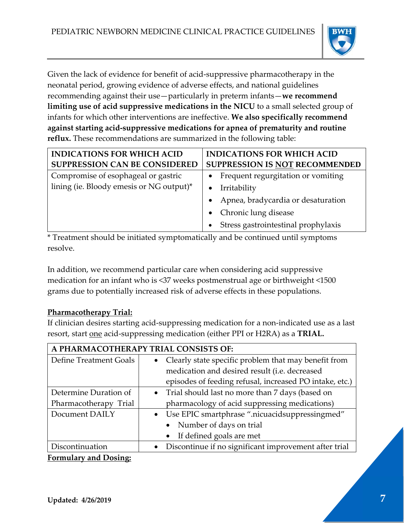

Given the lack of evidence for benefit of acid‐suppressive pharmacotherapy in the neonatal period, growing evidence of adverse effects, and national guidelines recommending against their use—particularly in preterm infants—**we recommend limiting use of acid suppressive medications in the NICU** to a small selected group of infants for which other interventions are ineffective. **We also specifically recommend against starting acid‐suppressive medications for apnea of prematurity and routine reflux.** These recommendations are summarized in the following table:

| <b>INDICATIONS FOR WHICH ACID</b>        | <b>INDICATIONS FOR WHICH ACID</b>   |  |  |  |
|------------------------------------------|-------------------------------------|--|--|--|
| <b>SUPPRESSION CAN BE CONSIDERED</b>     | SUPPRESSION IS NOT RECOMMENDED      |  |  |  |
| Compromise of esophageal or gastric      | Frequent regurgitation or vomiting  |  |  |  |
| lining (ie. Bloody emesis or NG output)* | Irritability                        |  |  |  |
|                                          | Apnea, bradycardia or desaturation  |  |  |  |
|                                          | Chronic lung disease                |  |  |  |
|                                          | Stress gastrointestinal prophylaxis |  |  |  |

\* Treatment should be initiated symptomatically and be continued until symptoms resolve.

In addition, we recommend particular care when considering acid suppressive medication for an infant who is <37 weeks postmenstrual age or birthweight <1500 grams due to potentially increased risk of adverse effects in these populations.

# **Pharmacotherapy Trial:**

If clinician desires starting acid‐suppressing medication for a non‐indicated use as a last resort, start one acid‐suppressing medication (either PPI or H2RA) as a **TRIAL.**

| A PHARMACOTHERAPY TRIAL CONSISTS OF: |                                                              |  |  |  |  |
|--------------------------------------|--------------------------------------------------------------|--|--|--|--|
| Define Treatment Goals               | Clearly state specific problem that may benefit from         |  |  |  |  |
|                                      | medication and desired result (i.e. decreased                |  |  |  |  |
|                                      | episodes of feeding refusal, increased PO intake, etc.)      |  |  |  |  |
| Determine Duration of                | Trial should last no more than 7 days (based on<br>$\bullet$ |  |  |  |  |
| Pharmacotherapy Trial                | pharmacology of acid suppressing medications)                |  |  |  |  |
| Document DAILY                       | Use EPIC smartphrase ".nicuacidsuppressingmed"               |  |  |  |  |
|                                      | Number of days on trial                                      |  |  |  |  |
|                                      | If defined goals are met                                     |  |  |  |  |
| Discontinuation                      | Discontinue if no significant improvement after trial        |  |  |  |  |
|                                      |                                                              |  |  |  |  |

**Formulary and Dosing:**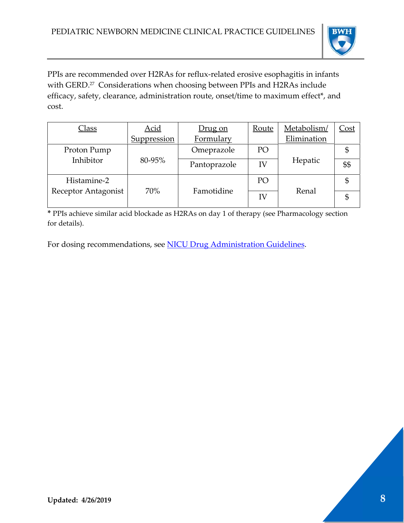

PPIs are recommended over H2RAs for reflux‐related erosive esophagitis in infants with GERD.<sup>27</sup> Considerations when choosing between PPIs and H2RAs include efficacy, safety, clearance, administration route, onset/time to maximum effect\*, and cost.

| <u>Class</u>        | <b>Acid</b> | Drug on      | Route | Metabolism/ | <u>Cost</u> |
|---------------------|-------------|--------------|-------|-------------|-------------|
|                     | Suppression | Formulary    |       | Elimination |             |
| Proton Pump         |             | Omeprazole   | PO    |             |             |
| Inhibitor           | 80-95%      | Pantoprazole | IV    | Hepatic     | \$\$        |
| Histamine-2         |             |              | PO    |             | \$          |
| Receptor Antagonist | 70%         | Famotidine   | IV    | Renal       |             |
|                     |             |              |       |             |             |

**\*** PPIs achieve similar acid blockade as H2RAs on day 1 of therapy (see Pharmacology section for details).

For dosing recommendations, see NICU Drug Administration Guidelines.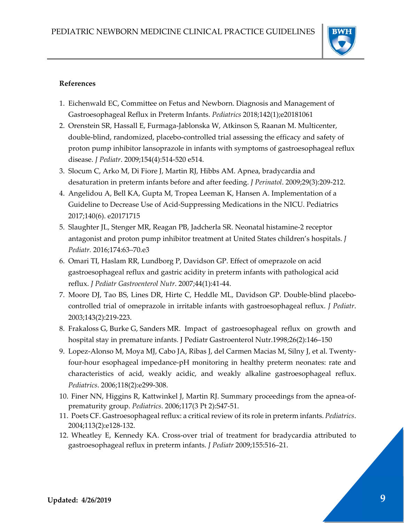

#### **References**

- 1. Eichenwald EC, Committee on Fetus and Newborn. Diagnosis and Management of Gastroesophageal Reflux in Preterm Infants. *Pediatrics* 2018;142(1);e20181061
- 2. Orenstein SR, Hassall E, Furmaga‐Jablonska W, Atkinson S, Raanan M. Multicenter, double‐blind, randomized, placebo‐controlled trial assessing the efficacy and safety of proton pump inhibitor lansoprazole in infants with symptoms of gastroesophageal reflux disease. *J Pediatr*. 2009;154(4):514‐520 e514.
- 3. Slocum C, Arko M, Di Fiore J, Martin RJ, Hibbs AM. Apnea, bradycardia and desaturation in preterm infants before and after feeding. *J Perinatol*. 2009;29(3):209‐212.
- 4. Angelidou A, Bell KA, Gupta M, Tropea Leeman K, Hansen A. Implementation of a Guideline to Decrease Use of Acid‐Suppressing Medications in the NICU. Pediatrics 2017;140(6). e20171715
- 5. Slaughter JL, Stenger MR, Reagan PB, Jadcherla SR. Neonatal histamine‐2 receptor antagonist and proton pump inhibitor treatment at United States children's hospitals. *J Pediatr.* 2016;174:63–70.e3
- 6. Omari TI, Haslam RR, Lundborg P, Davidson GP. Effect of omeprazole on acid gastroesophageal reflux and gastric acidity in preterm infants with pathological acid reflux. *J Pediatr Gastroenterol Nutr*. 2007;44(1):41‐44.
- 7. Moore DJ, Tao BS, Lines DR, Hirte C, Heddle ML, Davidson GP. Double‐blind placebo‐ controlled trial of omeprazole in irritable infants with gastroesophageal reflux. *J Pediatr*. 2003;143(2):219‐223.
- 8. Frakaloss G, Burke G, Sanders MR. Impact of gastroesophageal reflux on growth and hospital stay in premature infants. J Pediatr Gastroenterol Nutr.1998;26(2):146–150
- 9. Lopez-Alonso M, Moya MJ, Cabo JA, Ribas J, del Carmen Macias M, Silny J, et al. Twentyfour‐hour esophageal impedance‐pH monitoring in healthy preterm neonates: rate and characteristics of acid, weakly acidic, and weakly alkaline gastroesophageal reflux. *Pediatrics*. 2006;118(2):e299‐308.
- 10. Finer NN, Higgins R, Kattwinkel J, Martin RJ. Summary proceedings from the apnea‐of‐ prematurity group. *Pediatrics*. 2006;117(3 Pt 2):S47‐51.
- 11. Poets CF. Gastroesophageal reflux: a critical review of its role in preterm infants. *Pediatrics*. 2004;113(2):e128‐132.
- 12. Wheatley E, Kennedy KA. Cross‐over trial of treatment for bradycardia attributed to gastroesophageal reflux in preterm infants. *J Pediatr* 2009;155:516–21.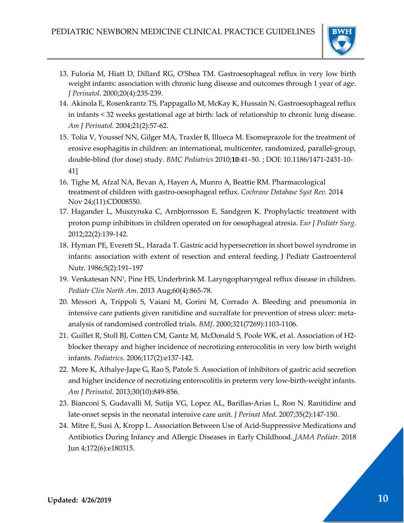

- 13. Fuloria M, Hiatt D, Dillard RG, OʹShea TM. Gastroesophageal reflux in very low birth weight infants: association with chronic lung disease and outcomes through 1 year of age. *J Perinatol*. 2000;20(4):235‐239.
- 14. Akinola E, Rosenkrantz TS, Pappagallo M, McKay K, Hussain N. Gastroesophageal reflux in infants < 32 weeks gestational age at birth: lack of relationship to chronic lung disease. *Am J Perinatol*. 2004;21(2):57‐62.
- 15. Tolia V, Youssef NN, Gilger MA, Traxler B, Illueca M. Esomeprazole for the treatment of erosive esophagitis in children: an international, multicenter, randomized, parallel‐group, double‐blind (for dose) study. *BMC Pediatrics* 2010;**10**:41–50. ; DOI: 10.1186/1471‐2431‐10‐ 41]
- 16. Tighe M, Afzal NA, Bevan A, Hayen A, Munro A, Beattie RM. Pharmacological treatment of children with gastro‐oesophageal reflux. *Cochrane Database Syst Rev.* 2014 Nov 24;(11):CD008550.
- 17. Hagander L, Muszynska C, Arnbjornsson E, Sandgren K. Prophylactic treatment with proton pump inhibitors in children operated on for oesophageal atresia. *Eur J Pediatr Surg*. 2012;22(2):139‐142.
- 18. Hyman PE, Everett SL, Harada T. Gastric acid hypersecretion in short bowel syndrome in infants: association with extent of resection and enteral feeding. J Pediatr Gastroenterol Nutr. 1986;5(2):191–197
- 19. Venkatesan NN1, Pine HS, Underbrink M. Laryngopharyngeal reflux disease in children. *Pediatr Clin North Am*. 2013 Aug;60(4):865‐78.
- 20. Messori A, Trippoli S, Vaiani M, Gorini M, Corrado A. Bleeding and pneumonia in intensive care patients given ranitidine and sucralfate for prevention of stress ulcer: metaanalysis of randomised controlled trials. *BMJ*. 2000;321(7269):1103‐1106.
- 21. Guillet R, Stoll BJ, Cotten CM, Gantz M, McDonald S, Poole WK, et al. Association of H2‐ blocker therapy and higher incidence of necrotizing enterocolitis in very low birth weight infants. *Pediatrics*. 2006;117(2):e137‐142.
- 22. More K, Athalye‐Jape G, Rao S, Patole S. Association of inhibitors of gastric acid secretion and higher incidence of necrotizing enterocolitis in preterm very low‐birth‐weight infants. *Am J Perinatol*. 2013;30(10):849‐856.
- 23. Bianconi S, Gudavalli M, Sutija VG, Lopez AL, Barillas‐Arias L, Ron N. Ranitidine and late‐onset sepsis in the neonatal intensive care unit. *J Perinat Med*. 2007;35(2):147‐150.
- 24. Mitre E, Susi A, Kropp L. Association Between Use of Acid‐Suppressive Medications and Antibiotics During Infancy and Allergic Diseases in Early Childhood. *JAMA Pediatr.* 2018 Jun 4;172(6):e180315.